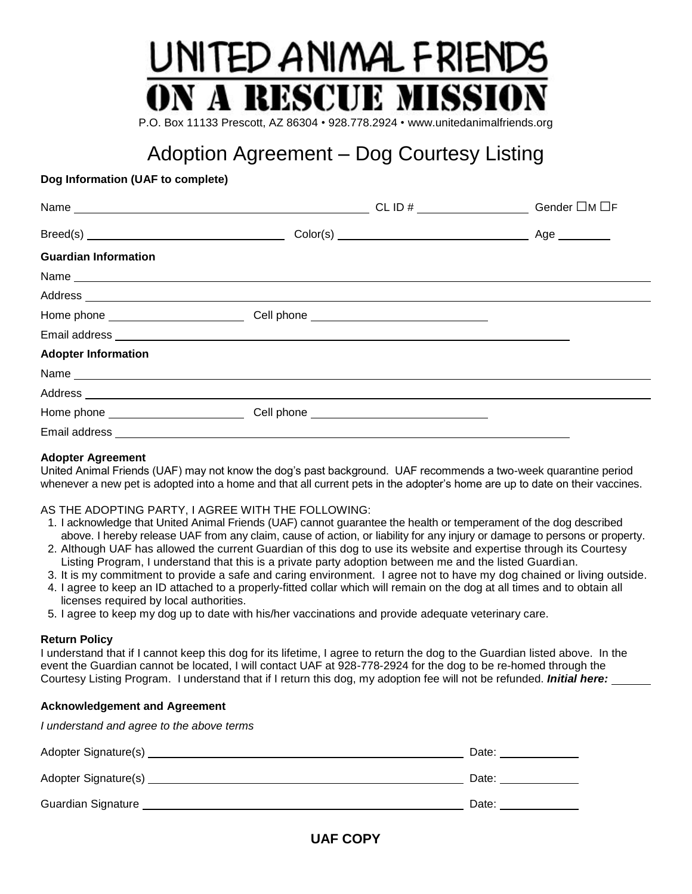# UNITED ANIMAL FRIENDS **N A RESCUE MISSI**

P.O. Box 11133 Prescott, AZ 86304 • 928.778.2924 • www.unitedanimalfriends.org

# Adoption Agreement – Dog Courtesy Listing

### **Dog Information (UAF to complete)**

|                                                                                                                                                                                                                                |  | Age $\_\_\_\_\_\_\_\_\_\_\$ |
|--------------------------------------------------------------------------------------------------------------------------------------------------------------------------------------------------------------------------------|--|-----------------------------|
| <b>Guardian Information</b>                                                                                                                                                                                                    |  |                             |
|                                                                                                                                                                                                                                |  |                             |
| Address experiences and the contract of the contract of the contract of the contract of the contract of the contract of the contract of the contract of the contract of the contract of the contract of the contract of the co |  |                             |
|                                                                                                                                                                                                                                |  |                             |
|                                                                                                                                                                                                                                |  |                             |
| <b>Adopter Information</b>                                                                                                                                                                                                     |  |                             |
|                                                                                                                                                                                                                                |  |                             |
| Address experience and a series of the series of the series of the series of the series of the series of the series of the series of the series of the series of the series of the series of the series of the series of the s |  |                             |
|                                                                                                                                                                                                                                |  |                             |
|                                                                                                                                                                                                                                |  |                             |

### **Adopter Agreement**

United Animal Friends (UAF) may not know the dog's past background. UAF recommends a two-week quarantine period whenever a new pet is adopted into a home and that all current pets in the adopter's home are up to date on their vaccines.

### AS THE ADOPTING PARTY, I AGREE WITH THE FOLLOWING:

- 1. I acknowledge that United Animal Friends (UAF) cannot guarantee the health or temperament of the dog described above. I hereby release UAF from any claim, cause of action, or liability for any injury or damage to persons or property.
- 2. Although UAF has allowed the current Guardian of this dog to use its website and expertise through its Courtesy Listing Program, I understand that this is a private party adoption between me and the listed Guardian.
- 3. It is my commitment to provide a safe and caring environment. I agree not to have my dog chained or living outside.
- 4. I agree to keep an ID attached to a properly-fitted collar which will remain on the dog at all times and to obtain all licenses required by local authorities.
- 5. I agree to keep my dog up to date with his/her vaccinations and provide adequate veterinary care.

### **Return Policy**

I understand that if I cannot keep this dog for its lifetime, I agree to return the dog to the Guardian listed above. In the event the Guardian cannot be located, I will contact UAF at 928-778-2924 for the dog to be re-homed through the Courtesy Listing Program. I understand that if I return this dog, my adoption fee will not be refunded. *Initial here:*

### **Acknowledgement and Agreement**

*I understand and agree to the above terms*

| Adopter Signature(s)      | Date: |
|---------------------------|-------|
| Adopter Signature(s)      | Date: |
| <b>Guardian Signature</b> | Date: |

## **UAF COPY**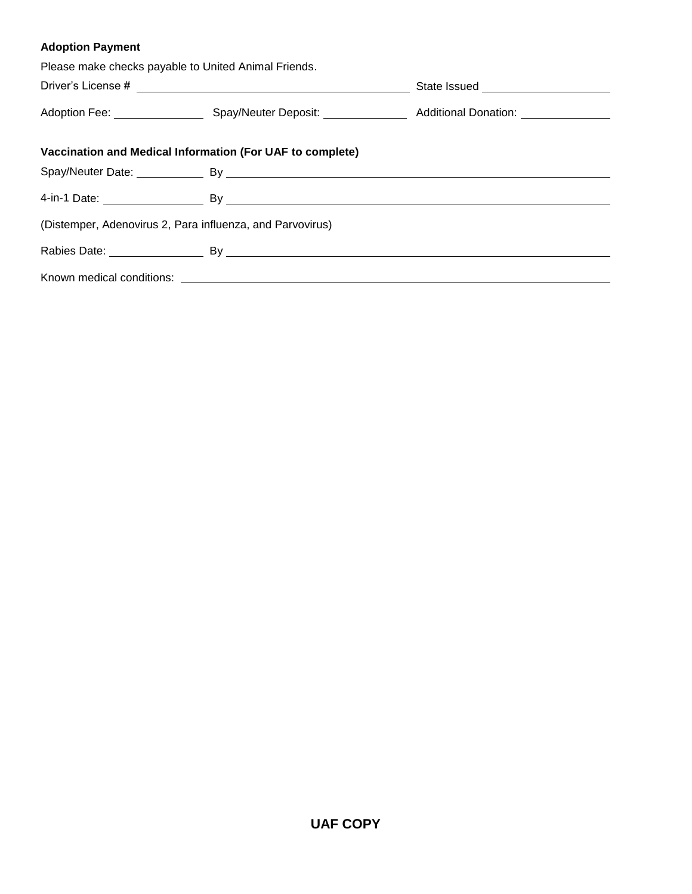## **Adoption Payment**

| Please make checks payable to United Animal Friends. |                                                           |                                       |
|------------------------------------------------------|-----------------------------------------------------------|---------------------------------------|
|                                                      |                                                           | State Issued ________________________ |
|                                                      |                                                           |                                       |
|                                                      | Vaccination and Medical Information (For UAF to complete) |                                       |
|                                                      |                                                           |                                       |
|                                                      |                                                           |                                       |
|                                                      | (Distemper, Adenovirus 2, Para influenza, and Parvovirus) |                                       |
|                                                      |                                                           |                                       |
|                                                      |                                                           |                                       |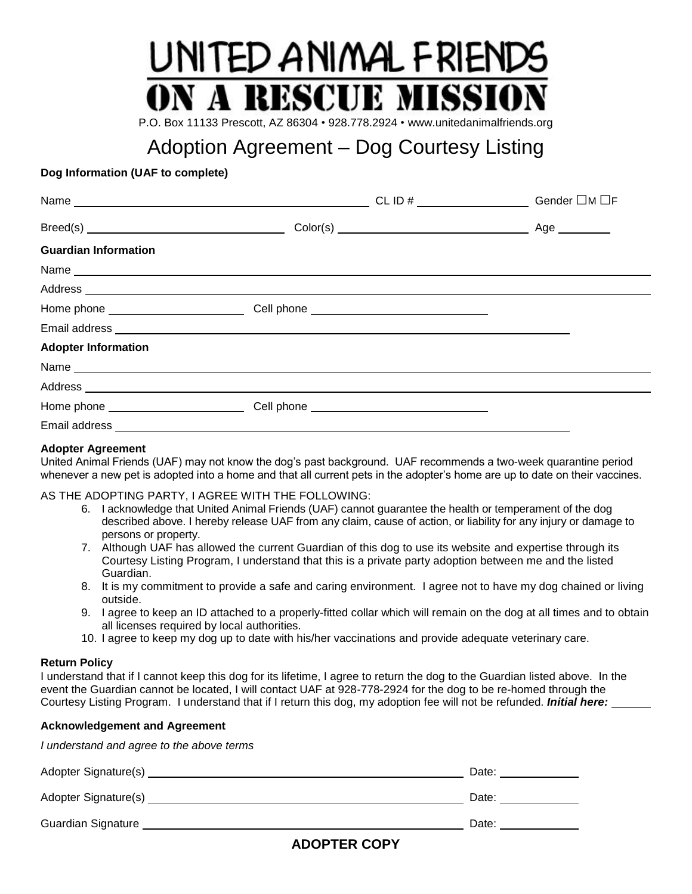# UNITED ANIMAL FRIEN **A RESCUE MISSI**

P.O. Box 11133 Prescott, AZ 86304 • 928.778.2924 • www.unitedanimalfriends.org

# Adoption Agreement – Dog Courtesy Listing

### **Dog Information (UAF to complete)**

|                             | CL ID # $\_$ | Gender □M □F |
|-----------------------------|--------------|--------------|
|                             |              | Age ________ |
| <b>Guardian Information</b> |              |              |
|                             |              |              |
|                             |              |              |
|                             |              |              |
|                             |              |              |
| <b>Adopter Information</b>  |              |              |
|                             |              |              |
|                             |              |              |
|                             |              |              |
|                             |              |              |

### **Adopter Agreement**

United Animal Friends (UAF) may not know the dog's past background. UAF recommends a two-week quarantine period whenever a new pet is adopted into a home and that all current pets in the adopter's home are up to date on their vaccines.

### AS THE ADOPTING PARTY, I AGREE WITH THE FOLLOWING:

- 6. I acknowledge that United Animal Friends (UAF) cannot guarantee the health or temperament of the dog described above. I hereby release UAF from any claim, cause of action, or liability for any injury or damage to persons or property.
- 7. Although UAF has allowed the current Guardian of this dog to use its website and expertise through its Courtesy Listing Program, I understand that this is a private party adoption between me and the listed Guardian.
- 8. It is my commitment to provide a safe and caring environment. I agree not to have my dog chained or living outside.
- 9. I agree to keep an ID attached to a properly-fitted collar which will remain on the dog at all times and to obtain all licenses required by local authorities.
- 10. I agree to keep my dog up to date with his/her vaccinations and provide adequate veterinary care.

### **Return Policy**

I understand that if I cannot keep this dog for its lifetime, I agree to return the dog to the Guardian listed above. In the event the Guardian cannot be located, I will contact UAF at 928-778-2924 for the dog to be re-homed through the Courtesy Listing Program. I understand that if I return this dog, my adoption fee will not be refunded. *Initial here:*

### **Acknowledgement and Agreement**

*I understand and agree to the above terms*

| Adopter Signature(s) | Date: |
|----------------------|-------|
| Adopter Signature(s) | Date: |
| Guardian Signature   | Date: |

### **ADOPTER COPY**